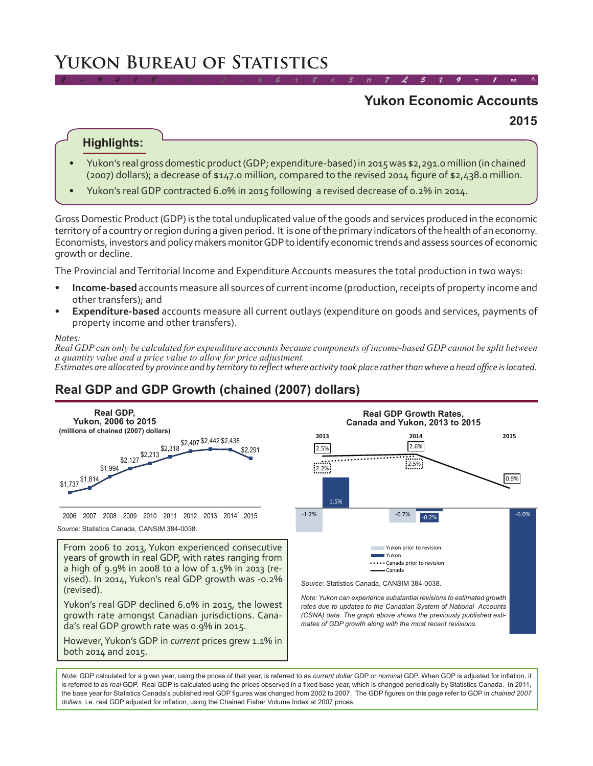# **Yukon Bureau of Statistics**

# **Yukon Economic Accounts**

*2 ÷ 9 # 1 \$ > 0 - 2 + 6 & ± 8 < 3 π 7 £ 5 ‡ 9 ≈ 1 ∞ ^*

**2015**

#### **Highlights:**

- Yukon's real gross domestic product (GDP; expenditure-based) in 2015 was \$2,291.0 million (in chained (2007) dollars); a decrease of \$147.0 million, compared to the revised 2014 figure of \$2,438.0 million.
- Yukon's real GDP contracted 6.0% in 2015 following a revised decrease of 0.2% in 2014.

Gross Domestic Product (GDP) is the total unduplicated value of the goods and services produced in the economic territory of a country or region during a given period. It is one of the primary indicators of the health of an economy. Economists, investors and policy makers monitor GDP to identify economic trends and assess sources of economic growth or decline.

The Provincial and Territorial Income and Expenditure Accounts measures the total production in two ways:

- **Income-based** accounts measure all sources of current income (production, receipts of property income and other transfers); and
- **Expenditure-based** accounts measure all current outlays (expenditure on goods and services, payments of property income and other transfers).

#### *Notes:*

*Real GDP can only be calculated for expenditure accounts because components of income-based GDP cannot be split between a quantity value and a price value to allow for price adjustment. Estimates are allocated by province and by territory to reflect where activity took place rather than where a head office is located.*

## **Real GDP and GDP Growth (chained (2007) dollars)**



*Note*: GDP calculated for a given year, using the prices of that year, is referred to as *current dollar* GDP or *nominal* GDP. When GDP is adjusted for inflation, it is referred to as *real* GDP. Real GDP is calculated using the prices observed in a fixed base year, which is changed periodically by Statistics Canada. In 2011, the base year for Statistics Canada's published real GDP figures was changed from 2002 to 2007. The GDP figures on this page refer to GDP in *chained 2007 dollars,* i.e. real GDP adjusted for inflation, using the Chained Fisher Volume Index at 2007 prices.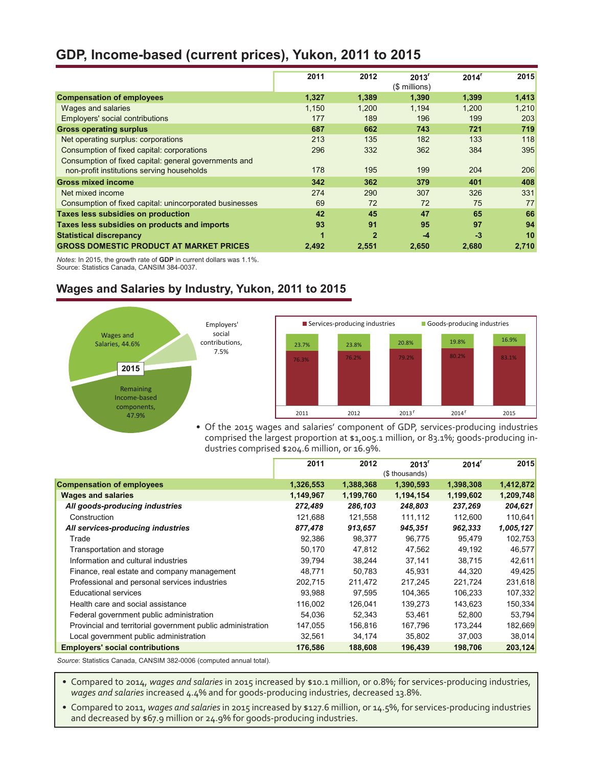### **GDP, Income-based (current prices), Yukon, 2011 to 2015**

|                                                                                                     | 2011  | 2012         | 2013 <sup>r</sup><br>(\$ millions) | $2014^r$ | 2015  |
|-----------------------------------------------------------------------------------------------------|-------|--------------|------------------------------------|----------|-------|
| <b>Compensation of employees</b>                                                                    | 1,327 | 1,389        | 1,390                              | 1,399    | 1,413 |
| Wages and salaries                                                                                  | 1.150 | 1.200        | 1.194                              | 1,200    | 1,210 |
| Employers' social contributions                                                                     | 177   | 189          | 196                                | 199      | 203   |
| <b>Gross operating surplus</b>                                                                      | 687   | 662          | 743                                | 721      | 719   |
| Net operating surplus: corporations                                                                 | 213   | 135          | 182                                | 133      | 118   |
| Consumption of fixed capital: corporations                                                          | 296   | 332          | 362                                | 384      | 395   |
| Consumption of fixed capital: general governments and<br>non-profit institutions serving households | 178   | 195          | 199                                | 204      | 206   |
| <b>Gross mixed income</b>                                                                           | 342   | 362          | 379                                | 401      | 408   |
| Net mixed income                                                                                    | 274   | 290          | 307                                | 326      | 331   |
| Consumption of fixed capital: unincorporated businesses                                             | 69    | 72           | 72                                 | 75       | 77    |
| Taxes less subsidies on production                                                                  | 42    | 45           | 47                                 | 65       | 66    |
| Taxes less subsidies on products and imports                                                        | 93    | 91           | 95                                 | 97       | 94    |
| <b>Statistical discrepancy</b>                                                                      | 1     | $\mathbf{2}$ | $-4$                               | $-3$     | 10    |
| <b>GROSS DOMESTIC PRODUCT AT MARKET PRICES</b>                                                      | 2.492 | 2.551        | 2.650                              | 2.680    | 2.710 |

*Notes*: In 2015, the growth rate of **GDP** in current dollars was 1.1%. Source: Statistics Canada, CANSIM 384-0037.

#### **Wages and Salaries by Industry, Yukon, 2011 to 2015**



• Of the 2015 wages and salaries' component of GDP, services-producing industries comprised the largest proportion at \$1,005.1 million, or 83.1%; goods-producing industries comprised \$204.6 million, or 16.9%.

|                                                             | 2011      | 2012      | 2013 <sup>r</sup> | 2014 <sup>r</sup> | 2015      |
|-------------------------------------------------------------|-----------|-----------|-------------------|-------------------|-----------|
|                                                             |           |           | (\$ thousands)    |                   |           |
| <b>Compensation of employees</b>                            | 1,326,553 | 1,388,368 | 1,390,593         | 1,398,308         | 1,412,872 |
| <b>Wages and salaries</b>                                   | 1,149,967 | 1,199,760 | 1,194,154         | 1,199,602         | 1,209,748 |
| All goods-producing industries                              | 272,489   | 286,103   | 248,803           | 237,269           | 204,621   |
| Construction                                                | 121,688   | 121,558   | 111,112           | 112,600           | 110,641   |
| All services-producing industries                           | 877,478   | 913,657   | 945,351           | 962,333           | 1,005,127 |
| Trade                                                       | 92,386    | 98,377    | 96,775            | 95,479            | 102,753   |
| Transportation and storage                                  | 50,170    | 47,812    | 47,562            | 49,192            | 46,577    |
| Information and cultural industries                         | 39,794    | 38,244    | 37,141            | 38,715            | 42,611    |
| Finance, real estate and company management                 | 48,771    | 50,783    | 45,931            | 44,320            | 49,425    |
| Professional and personal services industries               | 202,715   | 211,472   | 217,245           | 221,724           | 231,618   |
| Educational services                                        | 93,988    | 97,595    | 104,365           | 106,233           | 107,332   |
| Health care and social assistance                           | 116,002   | 126,041   | 139,273           | 143,623           | 150,334   |
| Federal government public administration                    | 54.036    | 52.343    | 53.461            | 52.800            | 53,794    |
| Provincial and territorial government public administration | 147,055   | 156,816   | 167,796           | 173.244           | 182,669   |
| Local government public administration                      | 32,561    | 34,174    | 35,802            | 37,003            | 38,014    |
| <b>Employers' social contributions</b>                      | 176,586   | 188,608   | 196,439           | 198,706           | 203,124   |

*Source*: Statistics Canada, CANSIM 382-0006 (computed annual total).

• Compared to 2014, *wages and salaries* in 2015 increased by \$10.1 million, or 0.8%; for services-producing industries, *wages and salaries* increased 4.4% and for goods-producing industries, decreased 13.8%.

• Compared to 2011, *wages and salaries* in 2015 increased by \$127.6 million, or 14.5%, for services-producing industries and decreased by \$67.9 million or 24.9% for goods-producing industries.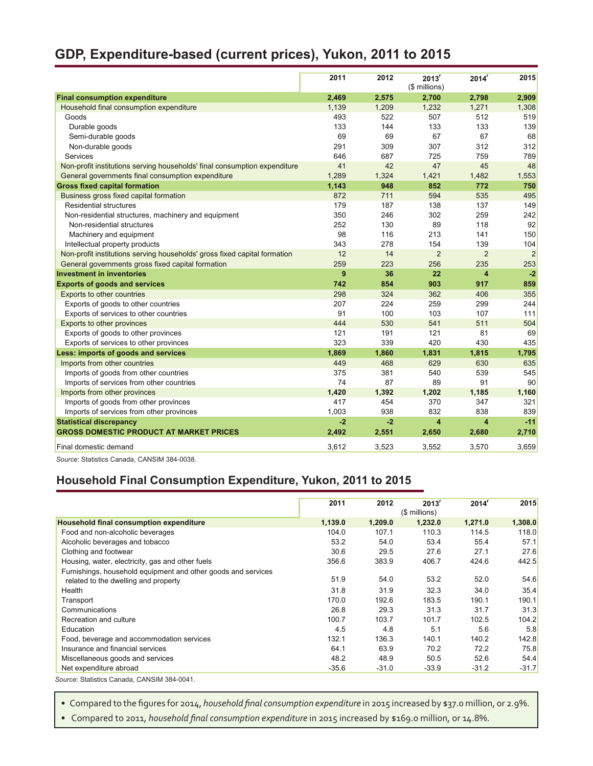## **GDP, Expenditure-based (current prices), Yukon, 2011 to 2015**

|                                                                           | 2011  | 2012  | 2013 <sup>r</sup><br>(\$ millions) | 2014 <sup>r</sup>       | 2015           |
|---------------------------------------------------------------------------|-------|-------|------------------------------------|-------------------------|----------------|
| <b>Final consumption expenditure</b>                                      | 2,469 | 2,575 | 2,700                              | 2,798                   | 2,909          |
| Household final consumption expenditure                                   | 1,139 | 1,209 | 1,232                              | 1,271                   | 1,308          |
| Goods                                                                     | 493   | 522   | 507                                | 512                     | 519            |
| Durable goods                                                             | 133   | 144   | 133                                | 133                     | 139            |
| Semi-durable goods                                                        | 69    | 69    | 67                                 | 67                      | 68             |
| Non-durable goods                                                         | 291   | 309   | 307                                | 312                     | 312            |
| Services                                                                  | 646   | 687   | 725                                | 759                     | 789            |
| Non-profit institutions serving households' final consumption expenditure | 41    | 42    | 47                                 | 45                      | 48             |
| General governments final consumption expenditure                         | 1,289 | 1,324 | 1,421                              | 1,482                   | 1,553          |
| <b>Gross fixed capital formation</b>                                      | 1,143 | 948   | 852                                | 772                     | 750            |
| Business gross fixed capital formation                                    | 872   | 711   | 594                                | 535                     | 495            |
| <b>Residential structures</b>                                             | 179   | 187   | 138                                | 137                     | 149            |
| Non-residential structures, machinery and equipment                       | 350   | 246   | 302                                | 259                     | 242            |
| Non-residential structures                                                | 252   | 130   | 89                                 | 118                     | 92             |
| Machinery and equipment                                                   | 98    | 116   | 213                                | 141                     | 150            |
| Intellectual property products                                            | 343   | 278   | 154                                | 139                     | 104            |
| Non-profit institutions serving households' gross fixed capital formation | 12    | 14    | $\overline{2}$                     | $\overline{2}$          | $\overline{2}$ |
| General governments gross fixed capital formation                         | 259   | 223   | 256                                | 235                     | 253            |
| <b>Investment in inventories</b>                                          | 9     | 36    | 22                                 | $\overline{\mathbf{4}}$ | $-2$           |
| <b>Exports of goods and services</b>                                      | 742   | 854   | 903                                | 917                     | 859            |
| Exports to other countries                                                | 298   | 324   | 362                                | 406                     | 355            |
| Exports of goods to other countries                                       | 207   | 224   | 259                                | 299                     | 244            |
| Exports of services to other countries                                    | 91    | 100   | 103                                | 107                     | 111            |
| Exports to other provinces                                                | 444   | 530   | 541                                | 511                     | 504            |
| Exports of goods to other provinces                                       | 121   | 191   | 121                                | 81                      | 69             |
| Exports of services to other provinces                                    | 323   | 339   | 420                                | 430                     | 435            |
| Less: imports of goods and services                                       | 1,869 | 1,860 | 1,831                              | 1,815                   | 1,795          |
| Imports from other countries                                              | 449   | 468   | 629                                | 630                     | 635            |
| Imports of goods from other countries                                     | 375   | 381   | 540                                | 539                     | 545            |
| Imports of services from other countries                                  | 74    | 87    | 89                                 | 91                      | 90             |
| Imports from other provinces                                              | 1.420 | 1,392 | 1.202                              | 1.185                   | 1,160          |
| Imports of goods from other provinces                                     | 417   | 454   | 370                                | 347                     | 321            |
| Imports of services from other provinces                                  | 1,003 | 938   | 832                                | 838                     | 839            |
| <b>Statistical discrepancy</b>                                            | $-2$  | $-2$  | $\overline{\mathbf{4}}$            | $\overline{\mathbf{4}}$ | $-11$          |
| <b>GROSS DOMESTIC PRODUCT AT MARKET PRICES</b>                            | 2,492 | 2,551 | 2,650                              | 2,680                   | 2,710          |
| Final domestic demand                                                     | 3,612 | 3,523 | 3,552                              | 3,570                   | 3,659          |
|                                                                           |       |       |                                    |                         |                |

*Source*: Statistics Canada, CANSIM 384-0038.

#### **Household Final Consumption Expenditure, Yukon, 2011 to 2015**

|                                                               | 2011    | 2012    | 2013 <sup>r</sup><br>(\$ millions) | 2014 <sup>r</sup> | 2015    |
|---------------------------------------------------------------|---------|---------|------------------------------------|-------------------|---------|
| Household final consumption expenditure                       | 1,139.0 | 1,209.0 | 1,232.0                            | 1,271.0           | 1,308.0 |
| Food and non-alcoholic beverages                              | 104.0   | 107.1   | 110.3                              | 114.5             | 118.0   |
| Alcoholic beverages and tobacco                               | 53.2    | 54.0    | 53.4                               | 55.4              | 57.1    |
| Clothing and footwear                                         | 30.6    | 29.5    | 27.6                               | 27.1              | 27.6    |
| Housing, water, electricity, gas and other fuels              | 356.6   | 383.9   | 406.7                              | 424.6             | 442.5   |
| Furnishings, household equipment and other goods and services |         |         |                                    |                   |         |
| related to the dwelling and property                          | 51.9    | 54.0    | 53.2                               | 52.0              | 54.6    |
| Health                                                        | 31.8    | 31.9    | 32.3                               | 34.0              | 35.4    |
| Transport                                                     | 170.0   | 192.6   | 183.5                              | 190.1             | 190.1   |
| Communications                                                | 26.8    | 29.3    | 31.3                               | 31.7              | 31.3    |
| Recreation and culture                                        | 100.7   | 103.7   | 101.7                              | 102.5             | 104.2   |
| Education                                                     | 4.5     | 4.8     | 5.1                                | 5.6               | 5.8     |
| Food, beverage and accommodation services                     | 132.1   | 136.3   | 140.1                              | 140.2             | 142.8   |
| Insurance and financial services                              | 64.1    | 63.9    | 70.2                               | 72.2              | 75.8    |
| Miscellaneous goods and services                              | 48.2    | 48.9    | 50.5                               | 52.6              | 54.4    |
| Net expenditure abroad                                        | $-35.6$ | $-31.0$ | $-33.9$                            | $-31.2$           | $-31.7$ |

*Source*: Statistics Canada, CANSIM 384-0041.

• Compared to the figures for 2014, *household final consumption expenditure* in 2015 increased by \$37.0 million, or 2.9%.

• Compared to 2011, *household final consumption expenditure* in 2015 increased by \$169.0 million, or 14.8%.